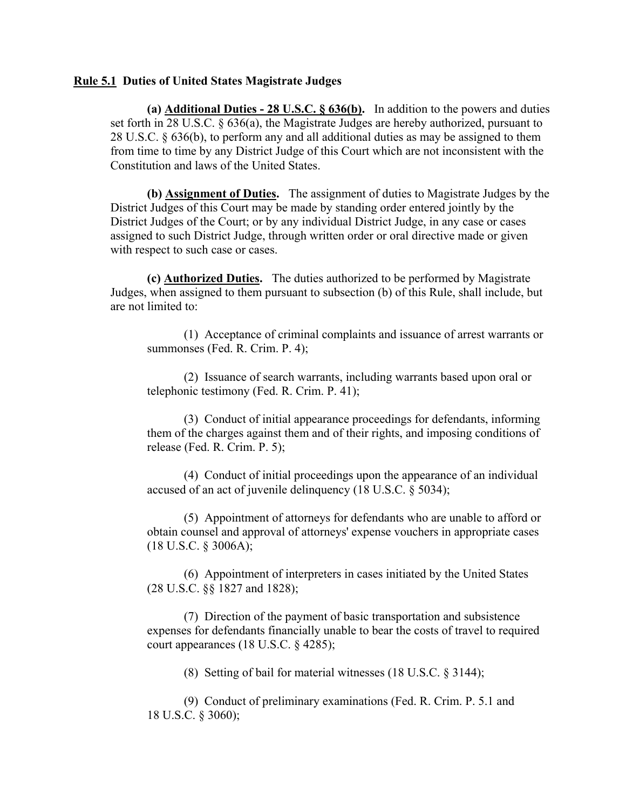## **Rule 5.1 Duties of United States Magistrate Judges**

**(a) Additional Duties - 28 U.S.C. § 636(b).** In addition to the powers and duties set forth in 28 U.S.C. § 636(a), the Magistrate Judges are hereby authorized, pursuant to 28 U.S.C. § 636(b), to perform any and all additional duties as may be assigned to them from time to time by any District Judge of this Court which are not inconsistent with the Constitution and laws of the United States.

**(b) Assignment of Duties.** The assignment of duties to Magistrate Judges by the District Judges of this Court may be made by standing order entered jointly by the District Judges of the Court; or by any individual District Judge, in any case or cases assigned to such District Judge, through written order or oral directive made or given with respect to such case or cases.

**(c) Authorized Duties.** The duties authorized to be performed by Magistrate Judges, when assigned to them pursuant to subsection (b) of this Rule, shall include, but are not limited to:

 (1) Acceptance of criminal complaints and issuance of arrest warrants or summonses (Fed. R. Crim. P. 4);

 (2) Issuance of search warrants, including warrants based upon oral or telephonic testimony (Fed. R. Crim. P. 41);

 (3) Conduct of initial appearance proceedings for defendants, informing them of the charges against them and of their rights, and imposing conditions of release (Fed. R. Crim. P. 5);

 (4) Conduct of initial proceedings upon the appearance of an individual accused of an act of juvenile delinquency (18 U.S.C. § 5034);

 (5) Appointment of attorneys for defendants who are unable to afford or obtain counsel and approval of attorneys' expense vouchers in appropriate cases (18 U.S.C. § 3006A);

 (6) Appointment of interpreters in cases initiated by the United States (28 U.S.C. §§ 1827 and 1828);

 (7) Direction of the payment of basic transportation and subsistence expenses for defendants financially unable to bear the costs of travel to required court appearances (18 U.S.C. § 4285);

(8) Setting of bail for material witnesses (18 U.S.C. § 3144);

 (9) Conduct of preliminary examinations (Fed. R. Crim. P. 5.1 and 18 U.S.C. § 3060);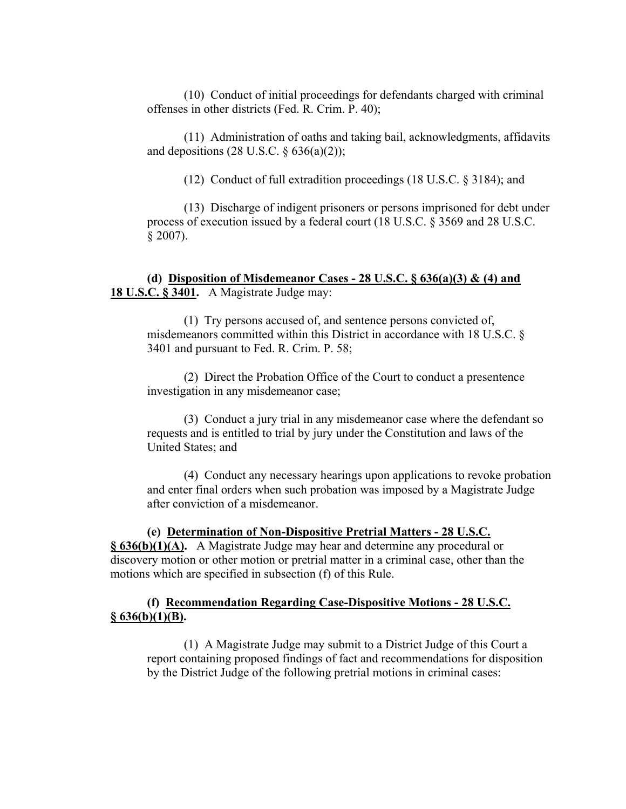(10) Conduct of initial proceedings for defendants charged with criminal offenses in other districts (Fed. R. Crim. P. 40);

 (11) Administration of oaths and taking bail, acknowledgments, affidavits and depositions  $(28 \text{ U.S.C. } § 636(a)(2));$ 

(12) Conduct of full extradition proceedings (18 U.S.C. § 3184); and

 (13) Discharge of indigent prisoners or persons imprisoned for debt under process of execution issued by a federal court (18 U.S.C. § 3569 and 28 U.S.C.  $§ 2007$ ).

 **(d) Disposition of Misdemeanor Cases - 28 U.S.C. § 636(a)(3) & (4) and 18 U.S.C. § 3401.** A Magistrate Judge may:

 (1) Try persons accused of, and sentence persons convicted of, misdemeanors committed within this District in accordance with 18 U.S.C. § 3401 and pursuant to Fed. R. Crim. P. 58;

 (2) Direct the Probation Office of the Court to conduct a presentence investigation in any misdemeanor case;

 (3) Conduct a jury trial in any misdemeanor case where the defendant so requests and is entitled to trial by jury under the Constitution and laws of the United States; and

 (4) Conduct any necessary hearings upon applications to revoke probation and enter final orders when such probation was imposed by a Magistrate Judge after conviction of a misdemeanor.

 **(e) Determination of Non-Dispositive Pretrial Matters - 28 U.S.C. § 636(b)(1)(A).** A Magistrate Judge may hear and determine any procedural or discovery motion or other motion or pretrial matter in a criminal case, other than the motions which are specified in subsection (f) of this Rule.

## **(f) Recommendation Regarding Case-Dispositive Motions - 28 U.S.C. § 636(b)(1)(B).**

 (1) A Magistrate Judge may submit to a District Judge of this Court a report containing proposed findings of fact and recommendations for disposition by the District Judge of the following pretrial motions in criminal cases: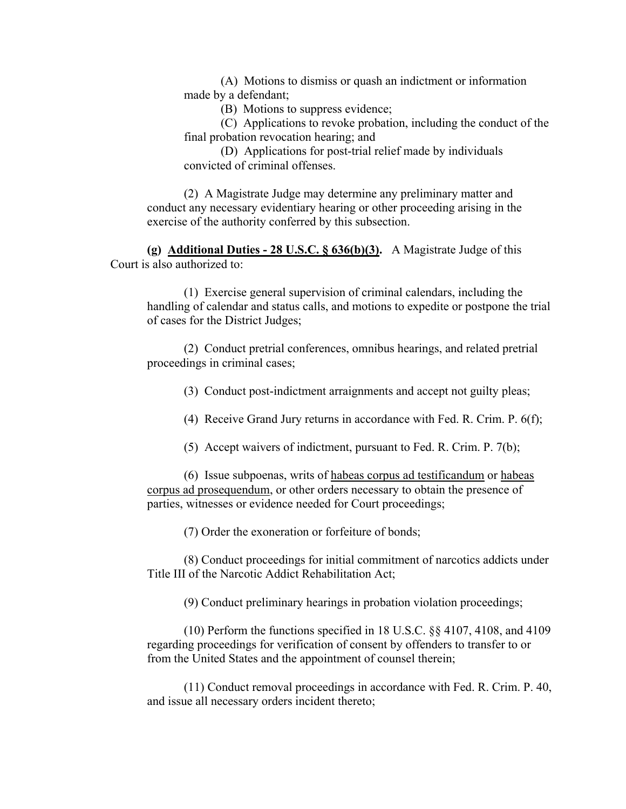(A) Motions to dismiss or quash an indictment or information made by a defendant;

(B) Motions to suppress evidence;

 (C) Applications to revoke probation, including the conduct of the final probation revocation hearing; and

 (D) Applications for post-trial relief made by individuals convicted of criminal offenses.

 (2) A Magistrate Judge may determine any preliminary matter and conduct any necessary evidentiary hearing or other proceeding arising in the exercise of the authority conferred by this subsection.

 **(g) Additional Duties - 28 U.S.C. § 636(b)(3).** A Magistrate Judge of this Court is also authorized to:

 (1) Exercise general supervision of criminal calendars, including the handling of calendar and status calls, and motions to expedite or postpone the trial of cases for the District Judges;

 (2) Conduct pretrial conferences, omnibus hearings, and related pretrial proceedings in criminal cases;

(3) Conduct post-indictment arraignments and accept not guilty pleas;

(4) Receive Grand Jury returns in accordance with Fed. R. Crim. P. 6(f);

(5) Accept waivers of indictment, pursuant to Fed. R. Crim. P. 7(b);

 (6) Issue subpoenas, writs of habeas corpus ad testificandum or habeas corpus ad prosequendum, or other orders necessary to obtain the presence of parties, witnesses or evidence needed for Court proceedings;

(7) Order the exoneration or forfeiture of bonds;

 (8) Conduct proceedings for initial commitment of narcotics addicts under Title III of the Narcotic Addict Rehabilitation Act;

(9) Conduct preliminary hearings in probation violation proceedings;

 (10) Perform the functions specified in 18 U.S.C. §§ 4107, 4108, and 4109 regarding proceedings for verification of consent by offenders to transfer to or from the United States and the appointment of counsel therein;

 (11) Conduct removal proceedings in accordance with Fed. R. Crim. P. 40, and issue all necessary orders incident thereto;